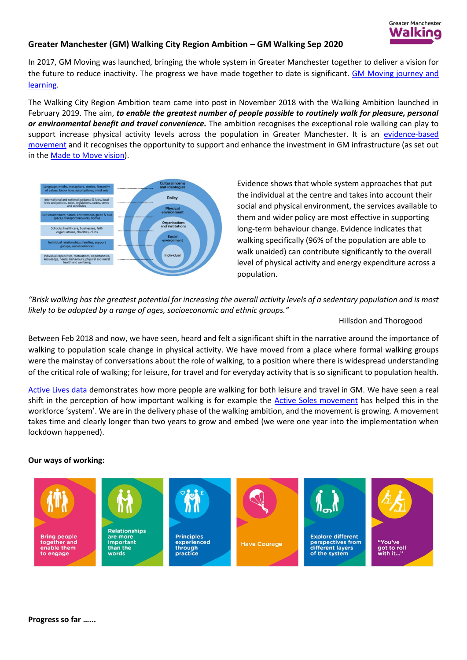

## **Greater Manchester (GM) Walking City Region Ambition – GM Walking Sep 2020**

In 2017, GM Moving was launched, bringing the whole system in Greater Manchester together to deliver a vision for the future to reduce inactivity. The progress we have made together to date is significant. [GM Moving journey and](https://hayleyleverblog.wordpress.com/2020/06/11/learning-all-the-time/)  [learning.](https://hayleyleverblog.wordpress.com/2020/06/11/learning-all-the-time/)

The Walking City Region Ambition team came into post in November 2018 with the Walking Ambition launched in February 2019. The aim, *to enable the greatest number of people possible to routinely walk for pleasure, personal or environmental benefit and travel convenience.* The ambition recognises the exceptional role walking can play to support increase physical activity levels across the population in Greater Manchester. It is an [evidence-based](https://www.greatersport.co.uk/media/3103/gm-walking-tf-project-initiation-document-website-version.pdf)  [movement](https://www.greatersport.co.uk/media/3103/gm-walking-tf-project-initiation-document-website-version.pdf) and it recognises the opportunity to support and enhance the investment in GM infrastructure (as set out in the [Made to Move vision\)](https://tfgm.com/made-to-move/bee-network).



Evidence shows that whole system approaches that put the individual at the centre and takes into account their social and physical environment, the services available to them and wider policy are most effective in supporting long-term behaviour change. Evidence indicates that walking specifically (96% of the population are able to walk unaided) can contribute significantly to the overall level of physical activity and energy expenditure across a population.

*"Brisk walking has the greatest potential for increasing the overall activity levels of a sedentary population and is most likely to be adopted by a range of ages, socioeconomic and ethnic groups."* 

Hillsdon and Thorogood

Between Feb 2018 and now, we have seen, heard and felt a significant shift in the narrative around the importance of walking to population scale change in physical activity. We have moved from a place where formal walking groups were the mainstay of conversations about the role of walking, to a position where there is widespread understanding of the critical role of walking; for leisure, for travel and for everyday activity that is so significant to population health.

[Active Lives data](https://gmwalking.co.uk/latest-physical-activity-data-released/) demonstrates how more people are walking for both leisure and travel in GM. We have seen a real shift in the perception of how important walking is for example the [Active Soles movement](file:///C:/Users/BethSutcliffe/AppData/Local/Microsoft/Windows/INetCache/Content.Outlook/NNZA0C3J/have%20seen%20a%20real%20shift%20in%20the%20perception%20of%20how%20important%20walking%20is.%20Active%20Soles%20has%20helped%20this%20in%20the%20‘system’) has helped this in the workforce 'system'. We are in the delivery phase of the walking ambition, and the movement is growing. A movement takes time and clearly longer than two years to grow and embed (we were one year into the implementation when lockdown happened).

## **Our ways of working:**